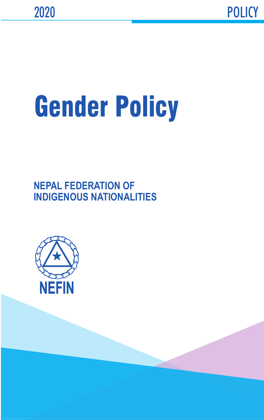# Gender Policy

**NEPAL FEDERATION OF INDIGENOUS NATIONALITIES**

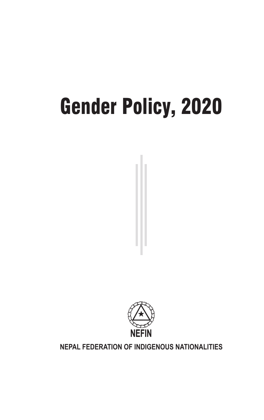# Gender Policy, 2020



#### **NEPAL FEDERATION OF INDIGENOUS NATIONALITIES**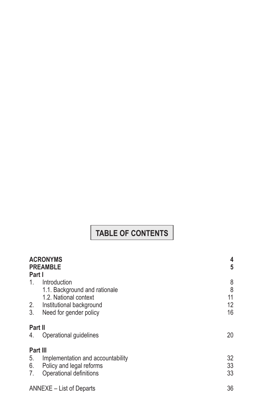# **TABLE OF CONTENTS**

| Part I                     | <b>ACRONYMS</b><br><b>PREAMBLE</b>                                                                                           | 4<br>5                   |
|----------------------------|------------------------------------------------------------------------------------------------------------------------------|--------------------------|
| $1_{-}$<br>2.<br>3.        | Introduction<br>1.1. Background and rationale<br>1.2. National context<br>Institutional background<br>Need for gender policy | 8<br>8<br>11<br>12<br>16 |
| Part II<br>4.              | Operational guidelines                                                                                                       | 20                       |
| Part III<br>5.<br>6.<br>7. | Implementation and accountability<br>Policy and legal reforms<br>Operational definitions                                     | 32<br>33<br>33           |
|                            | ANNEXE – List of Departs                                                                                                     |                          |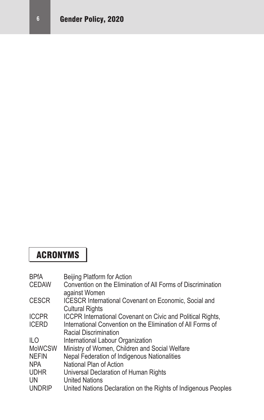# ACRONYMS

| <b>BPfA</b>   | Beijing Platform for Action                                        |
|---------------|--------------------------------------------------------------------|
| <b>CEDAW</b>  | Convention on the Elimination of All Forms of Discrimination       |
|               | against Women                                                      |
| <b>CESCR</b>  | <b>ICESCR International Covenant on Economic, Social and</b>       |
|               | <b>Cultural Rights</b>                                             |
| <b>ICCPR</b>  | <b>ICCPR International Covenant on Civic and Political Rights,</b> |
| <b>ICERD</b>  | International Convention on the Elimination of All Forms of        |
|               | Racial Discrimination                                              |
| ILO.          | International Labour Organization                                  |
| <b>MoWCSW</b> | Ministry of Women, Children and Social Welfare                     |
| <b>NEFIN</b>  | Nepal Federation of Indigenous Nationalities                       |
| <b>NPA</b>    | National Plan of Action                                            |
| <b>UDHR</b>   | Universal Declaration of Human Rights                              |
| UN            | <b>United Nations</b>                                              |
| <b>UNDRIP</b> | United Nations Declaration on the Rights of Indigenous Peoples     |
|               |                                                                    |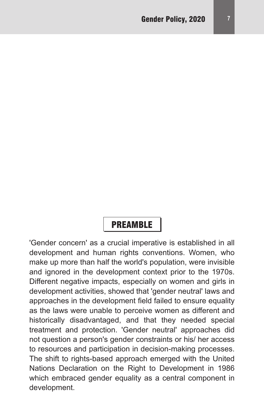## **PREAMBLE**

'Gender concern' as a crucial imperative is established in all development and human rights conventions. Women, who make up more than half the world's population, were invisible and ignored in the development context prior to the 1970s. Different negative impacts, especially on women and girls in development activities, showed that 'gender neutral' laws and approaches in the development field failed to ensure equality as the laws were unable to perceive women as different and historically disadvantaged, and that they needed special treatment and protection. 'Gender neutral' approaches did not question a person's gender constraints or his/ her access to resources and participation in decision-making processes. The shift to rights-based approach emerged with the United Nations Declaration on the Right to Development in 1986 which embraced gender equality as a central component in development.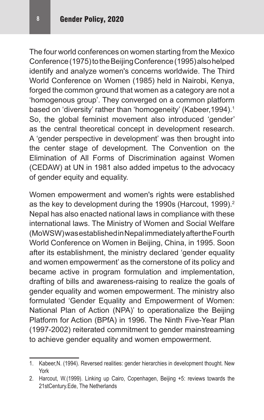The four world conferences on women starting from the Mexico Conference (1975) to the Beijing Conference (1995) also helped identify and analyze women's concerns worldwide. The Third World Conference on Women (1985) held in Nairobi, Kenya, forged the common ground that women as a category are not a 'homogenous group'. They converged on a common platform based on 'diversity' rather than 'homogeneity' (Kabeer, 1994).<sup>1</sup> So, the global feminist movement also introduced 'gender' as the central theoretical concept in development research. A 'gender perspective in development' was then brought into the center stage of development. The Convention on the Elimination of All Forms of Discrimination against Women (CEDAW) at UN in 1981 also added impetus to the advocacy of gender equity and equality.

Women empowerment and women's rights were established as the key to development during the 1990s (Harcout, 1999).<sup>2</sup> Nepal has also enacted national laws in compliance with these international laws. The Ministry of Women and Social Welfare (MoWSW) was established in Nepal immediately after the Fourth World Conference on Women in Beijing, China, in 1995. Soon after its establishment, the ministry declared 'gender equality and women empowerment' as the cornerstone of its policy and became active in program formulation and implementation, drafting of bills and awareness-raising to realize the goals of gender equality and women empowerment. The ministry also formulated 'Gender Equality and Empowerment of Women: National Plan of Action (NPA)' to operationalize the Beijing Platform for Action (BPfA) in 1996. The Ninth Five-Year Plan (1997-2002) reiterated commitment to gender mainstreaming to achieve gender equality and women empowerment.

<sup>1.</sup> Kabeer,N. (1994). Reversed realities: gender hierarchies in development thought. New York

<sup>2.</sup> Harcout, W.(1999). Linking up Cairo, Copenhagen, Beijing +5: reviews towards the 21stCentury.Ede, The Netherlands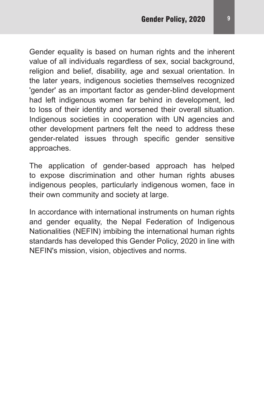Gender equality is based on human rights and the inherent value of all individuals regardless of sex, social background, religion and belief, disability, age and sexual orientation. In the later years, indigenous societies themselves recognized 'gender' as an important factor as gender-blind development had left indigenous women far behind in development, led to loss of their identity and worsened their overall situation. Indigenous societies in cooperation with UN agencies and other development partners felt the need to address these gender-related issues through specific gender sensitive approaches.

The application of gender-based approach has helped to expose discrimination and other human rights abuses indigenous peoples, particularly indigenous women, face in their own community and society at large.

In accordance with international instruments on human rights and gender equality, the Nepal Federation of Indigenous Nationalities (NEFIN) imbibing the international human rights standards has developed this Gender Policy, 2020 in line with NEFIN's mission, vision, objectives and norms.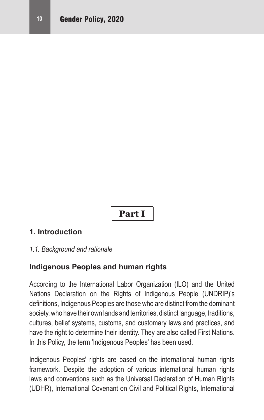# **Part I**

#### **1. Introduction**

#### *1.1. Background and rationale*

#### **Indigenous Peoples and human rights**

According to the International Labor Organization (ILO) and the United Nations Declaration on the Rights of Indigenous People (UNDRIP)'s definitions, Indigenous Peoples are those who are distinct fromthe dominant society, who have their own lands and territories, distinct language, traditions, cultures, belief systems, customs, and customary laws and practices, and have the right to determine their identity. They are also called First Nations. In this Policy, the term 'Indigenous Peoples' has been used.

Indigenous Peoples' rights are based on the international human rights framework. Despite the adoption of various international human rights laws and conventions such as the Universal Declaration of Human Rights (UDHR), International Covenant on Civil and Political Rights, International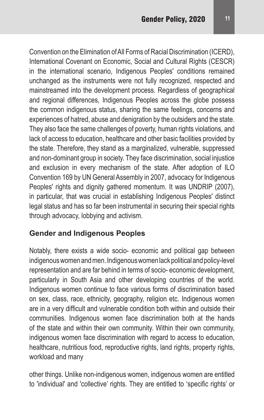Convention on the Elimination of All Forms of Racial Discrimination (ICERD), International Covenant on Economic, Social and Cultural Rights (CESCR) in the international scenario, Indigenous Peoples' conditions remained unchanged as the instruments were not fully recognized, respected and mainstreamed into the development process. Regardless of geographical and regional differences, Indigenous Peoples across the globe possess the common indigenous status, sharing the same feelings, concerns and experiences of hatred, abuse and denigration by the outsiders and the state. They also face the same challenges of poverty, human rights violations, and lack of access to education, healthcare and other basic facilities provided by the state. Therefore, they stand as a marginalized, vulnerable, suppressed and non-dominant group in society. They face discrimination, social injustice and exclusion in every mechanism of the state. After adoption of ILO Convention 169 by UN General Assembly in 2007, advocacy for Indigenous Peoples' rights and dignity gathered momentum. It was UNDRIP (2007), in particular, that was crucial in establishing Indigenous Peoples' distinct legal status and has so far been instrumental in securing their special rights through advocacy, lobbying and activism.

#### **Gender and Indigenous Peoples**

Notably, there exists a wide socio- economic and political gap between indigenous women and men. Indigenous women lack political and policy-level representation and are far behind in terms of socio- economic development, particularly in South Asia and other developing countries of the world. Indigenous women continue to face various forms of discrimination based on sex, class, race, ethnicity, geography, religion etc. Indigenous women are in a very difficult and vulnerable condition both within and outside their communities. Indigenous women face discrimination both at the hands of the state and within their own community. Within their own community, indigenous women face discrimination with regard to access to education, healthcare, nutritious food, reproductive rights, land rights, property rights, workload and many

other things. Unlike non-indigenous women, indigenous women are entitled to 'individual' and 'collective' rights. They are entitled to 'specific rights' or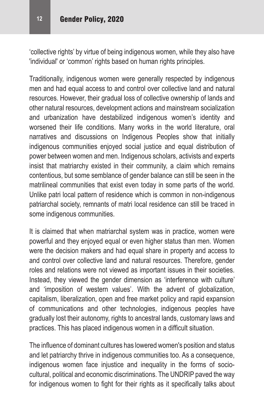'collective rights' by virtue of being indigenous women, while they also have 'individual' or 'common' rights based on human rights principles.

Traditionally, indigenous women were generally respected by indigenous men and had equal access to and control over collective land and natural resources. However, their gradual loss of collective ownership of lands and other natural resources, development actions and mainstream socialization and urbanization have destabilized indigenous women's identity and worsened their life conditions. Many works in the world literature, oral narratives and discussions on Indigenous Peoples show that initially indigenous communities enjoyed social justice and equal distribution of power between women and men. Indigenous scholars, activists and experts insist that matriarchy existed in their community, a claim which remains contentious, but some semblance of gender balance can still be seen in the matrilineal communities that exist even today in some parts of the world. Unlike patri local pattern of residence which is common in non-indigenous patriarchal society, remnants of matri local residence can still be traced in some indigenous communities.

It is claimed that when matriarchal system was in practice, women were powerful and they enjoyed equal or even higher status than men. Women were the decision makers and had equal share in property and access to and control over collective land and natural resources. Therefore, gender roles and relations were not viewed as important issues in their societies. Instead, they viewed the gender dimension as 'interference with culture' and 'imposition of western values'. With the advent of globalization, capitalism, liberalization, open and free market policy and rapid expansion of communications and other technologies, indigenous peoples have gradually lost their autonomy, rights to ancestral lands, customary laws and practices. This has placed indigenous women in a difficult situation.

The influence of dominant cultures has lowered women's position and status and let patriarchy thrive in indigenous communities too. As a consequence, indigenous women face injustice and inequality in the forms of sociocultural, political and economic discriminations. The UNDRIP paved the way for indigenous women to fight for their rights as it specifically talks about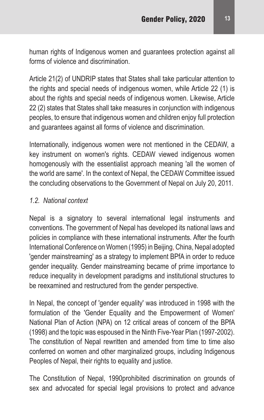human rights of Indigenous women and guarantees protection against all forms of violence and discrimination.

Article 21(2) of UNDRIP states that States shall take particular attention to the rights and special needs of indigenous women, while Article 22 (1) is about the rights and special needs of indigenous women. Likewise, Article 22 (2) states that States shall take measures in conjunction with indigenous peoples, to ensure that indigenous women and children enjoy full protection and guarantees against all forms of violence and discrimination.

Internationally, indigenous women were not mentioned in the CEDAW, a key instrument on women's rights. CEDAW viewed indigenous women homogenously with the essentialist approach meaning 'all the women of the world are same'. In the context of Nepal, the CEDAW Committee issued the concluding observations to the Government of Nepal on July 20, 2011.

#### *1.2. National context*

Nepal is a signatory to several international legal instruments and conventions. The government of Nepal has developed its national laws and policies in compliance with these international instruments. After the fourth International Conference on Women (1995) in Beijing, China, Nepal adopted 'gender mainstreaming' as a strategy to implement BPfA in order to reduce gender inequality. Gender mainstreaming became of prime importance to reduce inequality in development paradigms and institutional structures to be reexamined and restructured from the gender perspective.

In Nepal, the concept of 'gender equality' was introduced in 1998 with the formulation of the 'Gender Equality and the Empowerment of Women' National Plan of Action (NPA) on 12 critical areas of concern of the BPfA (1998) and the topic was espoused in the Ninth Five-Year Plan (1997-2002). The constitution of Nepal rewritten and amended from time to time also conferred on women and other marginalized groups, including Indigenous Peoples of Nepal, their rights to equality and justice.

The Constitution of Nepal, 1990prohibited discrimination on grounds of sex and advocated for special legal provisions to protect and advance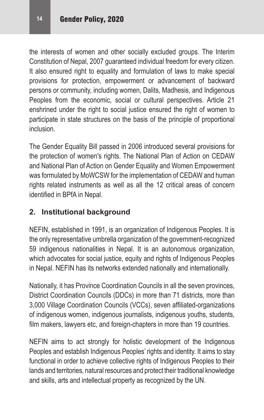the interests of women and other socially excluded groups. The Interim Constitution of Nepal, 2007 guaranteed individual freedom for every citizen. It also ensured right to equality and formulation of laws to make special provisions for protection, empowerment or advancement of backward persons or community, including women, Dalits, Madhesis, and Indigenous Peoples from the economic, social or cultural perspectives. Article 21 enshrined under the right to social justice ensured the right of women to participate in state structures on the basis of the principle of proportional inclusion.

The Gender Equality Bill passed in 2006 introduced several provisions for the protection of women's rights. The National Plan of Action on CEDAW and National Plan of Action on Gender Equality and Women Empowerment was formulated by MoWCSW for the implementation of CEDAW and human rights related instruments as well as all the 12 critical areas of concern identified in BPfA in Nepal.

#### **2. Institutional background**

NEFIN, established in 1991, is an organization of Indigenous Peoples. It is the only representative umbrella organization of the government-recognized 59 indigenous nationalities in Nepal. It is an autonomous organization, which advocates for social justice, equity and rights of Indigenous Peoples in Nepal. NEFIN has its networks extended nationally and internationally.

Nationally, it has Province Coordination Councils in all the seven provinces, District Coordination Councils (DDCs) in more than 71 districts, more than 3,000 Village Coordination Councils (VCCs), seven affiliated-organizations of indigenous women, indigenous journalists, indigenous youths, students, film makers, lawyers etc, and foreign-chapters in more than 19 countries.

NEFIN aims to act strongly for holistic development of the Indigenous Peoples and establish Indigenous Peoples' rights and identity. It aims to stay functional in order to achieve collective rights of Indigenous Peoples to their lands and territories, natural resources and protect their traditional knowledge and skills, arts and intellectual property as recognized by the UN.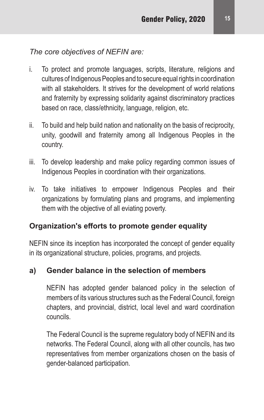#### *The core objectives of NEFIN are:*

- i. To protect and promote languages, scripts, literature, religions and cultures of Indigenous Peoples and to secure equal rights in coordination with all stakeholders. It strives for the development of world relations and fraternity by expressing solidarity against discriminatory practices based on race, class/ethnicity, language, religion, etc.
- ii. To build and help build nation and nationality on the basis of reciprocity, unity, goodwill and fraternity among all Indigenous Peoples in the country.
- iii. To develop leadership and make policy regarding common issues of Indigenous Peoples in coordination with their organizations.
- iv. To take initiatives to empower Indigenous Peoples and their organizations by formulating plans and programs, and implementing them with the objective of all eviating poverty.

#### **Organization's efforts to promote gender equality**

NEFIN since its inception has incorporated the concept of gender equality in its organizational structure, policies, programs, and projects.

#### **a) Gender balance in the selection of members**

NEFIN has adopted gender balanced policy in the selection of members of its various structures such as the Federal Council, foreign chapters, and provincial, district, local level and ward coordination councils.

The Federal Council is the supreme regulatory body of NEFIN and its networks. The Federal Council, along with all other councils, has two representatives from member organizations chosen on the basis of gender-balanced participation.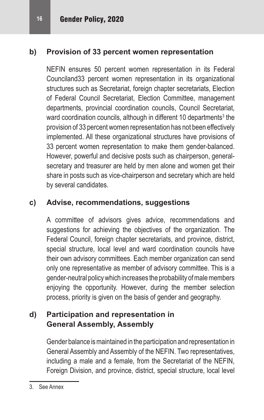#### **b) Provision of 33 percent women representation**

NEFIN ensures 50 percent women representation in its Federal Counciland33 percent women representation in its organizational structures such as Secretariat, foreign chapter secretariats, Election of Federal Council Secretariat, Election Committee, management departments, provincial coordination councils, Council Secretariat, ward coordination councils, although in different 10 departments<sup>3</sup> the provision of 33 percent women representation has not been effectively implemented. All these organizational structures have provisions of 33 percent women representation to make them gender-balanced. However, powerful and decisive posts such as chairperson, generalsecretary and treasurer are held by men alone and women get their share in posts such as vice-chairperson and secretary which are held by several candidates.

#### **c) Advise, recommendations, suggestions**

A committee of advisors gives advice, recommendations and suggestions for achieving the objectives of the organization. The Federal Council, foreign chapter secretariats, and province, district, special structure, local level and ward coordination councils have their own advisory committees. Each member organization can send only one representative as member of advisory committee. This is a gender-neutral policy which increases the probability of male members enjoying the opportunity. However, during the member selection process, priority is given on the basis of gender and geography.

#### **d) Participation and representation in General Assembly, Assembly**

Gender balance is maintained in the participation and representation in General Assembly and Assembly of the NEFIN. Two representatives, including a male and a female, from the Secretariat of the NEFIN, Foreign Division, and province, district, special structure, local level

<sup>3.</sup> See Annex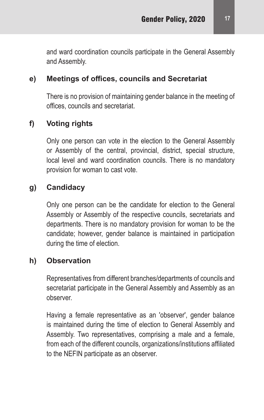and ward coordination councils participate in the General Assembly and Assembly.

#### **e) Meetings of offices, councils and Secretariat**

There is no provision of maintaining gender balance in the meeting of offices, councils and secretariat.

#### **f) Voting rights**

Only one person can vote in the election to the General Assembly or Assembly of the central, provincial, district, special structure, local level and ward coordination councils. There is no mandatory provision for woman to cast vote.

#### **g) Candidacy**

Only one person can be the candidate for election to the General Assembly or Assembly of the respective councils, secretariats and departments. There is no mandatory provision for woman to be the candidate; however, gender balance is maintained in participation during the time of election.

#### **h) Observation**

Representatives from different branches/departments of councils and secretariat participate in the General Assembly and Assembly as an observer.

Having a female representative as an 'observer', gender balance is maintained during the time of election to General Assembly and Assembly. Two representatives, comprising a male and a female, from each of the different councils, organizations/institutions affiliated to the NEFIN participate as an observer.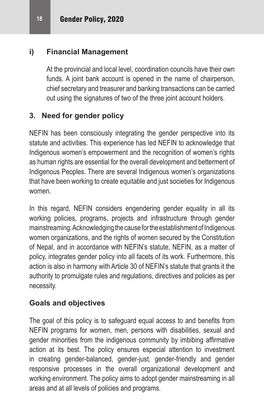#### **i) Financial Management**

At the provincial and local level, coordination councils have their own funds. A joint bank account is opened in the name of chairperson, chief secretary and treasurer and banking transactions can be carried out using the signatures of two of the three joint account holders.

#### **3. Need for gender policy**

NEFIN has been consciously integrating the gender perspective into its statute and activities. This experience has led NEFIN to acknowledge that Indigenous women's empowerment and the recognition of women's rights as human rights are essential for the overall development and betterment of Indigenous Peoples. There are several Indigenous women's organizations that have been working to create equitable and just societies for Indigenous women.

In this regard, NEFIN considers engendering gender equality in all its working policies, programs, projects and infrastructure through gender mainstreaming. Acknowledging the cause for the establishment of Indigenous women organizations, and the rights of women secured by the Constitution of Nepal, and in accordance with NEFIN's statute, NEFIN, as a matter of policy, integrates gender policy into all facets of its work. Furthermore, this action is also in harmony with Article 30 of NEFIN's statute that grants it the authority to promulgate rules and regulations, directives and policies as per necessity.

#### **Goals and objectives**

The goal of this policy is to safeguard equal access to and benefits from NEFIN programs for women, men, persons with disabilities, sexual and gender minorities from the indigenous community by imbibing affirmative action at its best. The policy ensures especial attention to investment in creating gender-balanced, gender-just, gender-friendly and gender responsive processes in the overall organizational development and working environment. The policy aims to adopt gender mainstreaming in all areas and at all levels of policies and programs.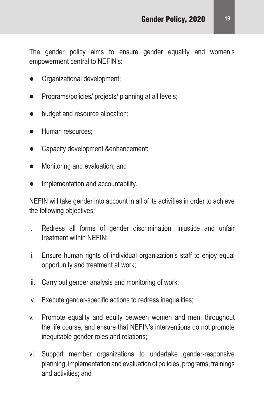The gender policy aims to ensure gender equality and women's empowerment central to NEFIN's:

- Organizational development;
- Programs/policies/ projects/ planning at all levels;
- budget and resource allocation;
- Human resources:
- Capacity development &enhancement;
- Monitoring and evaluation; and
- Implementation and accountability.

NEFIN will take gender into account in all of its activities in order to achieve the following objectives:

- i. Redress all forms of gender discrimination, injustice and unfair treatment within NEFIN;
- ii. Ensure human rights of individual organization's staff to enjoy equal opportunity and treatment at work;
- iii. Carry out gender analysis and monitoring of work;
- iv. Execute gender-specific actions to redress inequalities;
- v. Promote equality and equity between women and men, throughout the life course, and ensure that NEFIN's interventions do not promote inequitable gender roles and relations;
- vi. Support member organizations to undertake gender-responsive planning, implementation and evaluation of policies, programs, trainings and activities; and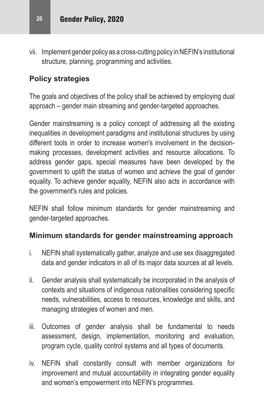vii. Implement gender policy as a cross-cutting policy in NEFIN's institutional structure, planning, programming and activities.

#### **Policy strategies**

The goals and objectives of the policy shall be achieved by employing dual approach – gender main streaming and gender-targeted approaches.

Gender mainstreaming is a policy concept of addressing all the existing inequalities in development paradigms and institutional structures by using different tools in order to increase women's involvement in the decisionmaking processes, development activities and resource allocations. To address gender gaps, special measures have been developed by the government to uplift the status of women and achieve the goal of gender equality. To achieve gender equality, NEFIN also acts in accordance with the government's rules and policies.

NEFIN shall follow minimum standards for gender mainstreaming and gender-targeted approaches.

#### **Minimum standards for gender mainstreaming approach**

- i. NEFIN shall systematically gather, analyze and use sex disaggregated data and gender indicators in all of its major data sources at all levels.
- ii. Gender analysis shall systematically be incorporated in the analysis of contexts and situations of indigenous nationalities considering specific needs, vulnerabilities, access to resources, knowledge and skills, and managing strategies of women and men.
- iii. Outcomes of gender analysis shall be fundamental to needs assessment, design, implementation, monitoring and evaluation, program cycle, quality control systems and all types of documents.
- iv. NEFIN shall constantly consult with member organizations for improvement and mutual accountability in integrating gender equality and women's empowerment into NEFIN's programmes.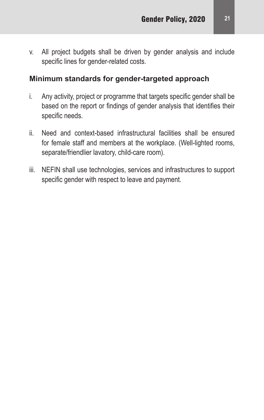v. All project budgets shall be driven by gender analysis and include specific lines for gender-related costs.

#### **Minimum standards for gender-targeted approach**

- i. Any activity, project or programme that targets specific gender shall be based on the report or findings of gender analysis that identifies their specific needs.
- ii. Need and context-based infrastructural facilities shall be ensured for female staff and members at the workplace. (Well-lighted rooms, separate/friendlier lavatory, child-care room).
- iii. NEFIN shall use technologies, services and infrastructures to support specific gender with respect to leave and payment.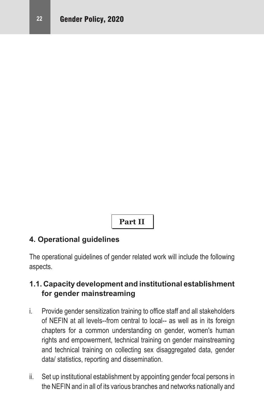**Part II**

#### **4. Operational guidelines**

The operational guidelines of gender related work will include the following aspects.

#### **1.1. Capacity development and institutional establishment for gender mainstreaming**

- i. Provide gender sensitization training to office staff and all stakeholders of NEFIN at all levels--from central to local-- as well as in its foreign chapters for a common understanding on gender, women's human rights and empowerment, technical training on gender mainstreaming and technical training on collecting sex disaggregated data, gender data/ statistics, reporting and dissemination.
- ii. Set up institutional establishment by appointing gender focal persons in the NEFIN and in all of its various branches and networks nationally and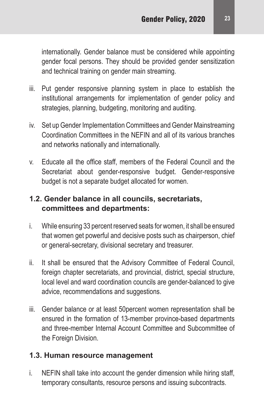internationally. Gender balance must be considered while appointing gender focal persons. They should be provided gender sensitization and technical training on gender main streaming.

- iii. Put gender responsive planning system in place to establish the institutional arrangements for implementation of gender policy and strategies, planning, budgeting, monitoring and auditing.
- iv. Set up Gender Implementation Committees and Gender Mainstreaming Coordination Committees in the NEFIN and all of its various branches and networks nationally and internationally.
- v. Educate all the office staff, members of the Federal Council and the Secretariat about gender-responsive budget. Gender-responsive budget is not a separate budget allocated for women.

#### **1.2. Gender balance in all councils, secretariats, committees and departments:**

- i. While ensuring 33 percent reserved seats for women, it shall be ensured that women get powerful and decisive posts such as chairperson, chief or general-secretary, divisional secretary and treasurer.
- ii. It shall be ensured that the Advisory Committee of Federal Council, foreign chapter secretariats, and provincial, district, special structure, local level and ward coordination councils are gender-balanced to give advice, recommendations and suggestions.
- iii. Gender balance or at least 50percent women representation shall be ensured in the formation of 13-member province-based departments and three-member Internal Account Committee and Subcommittee of the Foreign Division.

#### **1.3. Human resource management**

i. NEFIN shall take into account the gender dimension while hiring staff, temporary consultants, resource persons and issuing subcontracts.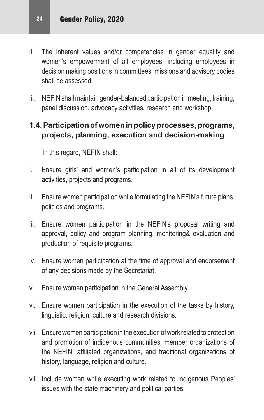- ii. The inherent values and/or competencies in gender equality and women's empowerment of all employees, including employees in decision making positions in committees, missions and advisory bodies shall be assessed.
- iii. NEFIN shall maintain gender-balanced participation in meeting, training, panel discussion, advocacy activities, research and workshop.

#### **1.4. Participation of women in policy processes, programs, projects, planning, execution and decision-making**

In this regard, NEFIN shall:

- i. Ensure girls' and women's participation in all of its development activities, projects and programs.
- ii. Ensure women participation while formulating the NEFIN's future plans, policies and programs.
- iii. Ensure women participation in the NEFIN's proposal writing and approval, policy and program planning, monitoring& evaluation and production of requisite programs.
- iv. Ensure women participation at the time of approval and endorsement of any decisions made by the Secretariat.
- v. Ensure women participation in the General Assembly.
- vi. Ensure women participation in the execution of the tasks by history, linguistic, religion, culture and research divisions.
- vii. Ensure women participation in the execution of work related to protection and promotion of indigenous communities, member organizations of the NEFIN, affiliated organizations, and traditional organizations of history, language, religion and culture.
- viii. Include women while executing work related to Indigenous Peoples' issues with the state machinery and political parties.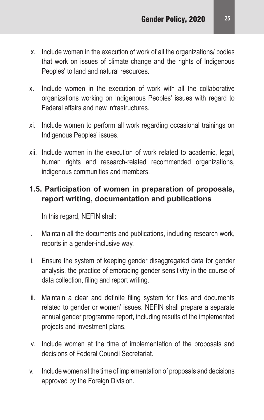- ix. Include women in the execution of work of all the organizations/ bodies that work on issues of climate change and the rights of Indigenous Peoples' to land and natural resources.
- x. Include women in the execution of work with all the collaborative organizations working on Indigenous Peoples' issues with regard to Federal affairs and new infrastructures.
- xi. Include women to perform all work regarding occasional trainings on Indigenous Peoples' issues.
- xii. Include women in the execution of work related to academic, legal, human rights and research-related recommended organizations, indigenous communities and members.

#### **1.5. Participation of women in preparation of proposals, report writing, documentation and publications**

In this regard, NEFIN shall:

- i. Maintain all the documents and publications, including research work, reports in a gender-inclusive way.
- ii. Ensure the system of keeping gender disaggregated data for gender analysis, the practice of embracing gender sensitivity in the course of data collection, filing and report writing.
- iii. Maintain a clear and definite filing system for files and documents related to gender or women' issues. NEFIN shall prepare a separate annual gender programme report, including results of the implemented projects and investment plans.
- iv. Include women at the time of implementation of the proposals and decisions of Federal Council Secretariat.
- v. Include women at the time of implementation of proposals and decisions approved by the Foreign Division.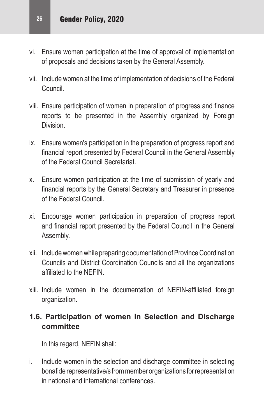- vi. Ensure women participation at the time of approval of implementation of proposals and decisions taken by the General Assembly.
- vii. Include women at the time of implementation of decisions of the Federal Council.
- viii. Ensure participation of women in preparation of progress and finance reports to be presented in the Assembly organized by Foreign Division.
- ix. Ensure women's participation in the preparation of progress report and financial report presented by Federal Council in the General Assembly of the Federal Council Secretariat.
- x. Ensure women participation at the time of submission of yearly and financial reports by the General Secretary and Treasurer in presence of the Federal Council.
- xi. Encourage women participation in preparation of progress report and financial report presented by the Federal Council in the General Assembly.
- xii. Include women while preparing documentation of Province Coordination Councils and District Coordination Councils and all the organizations affiliated to the NEFIN.
- xiii. Include women in the documentation of NEFIN-affiliated foreign organization.

#### **1.6. Participation of women in Selection and Discharge committee**

In this regard, NEFIN shall:

i. Include women in the selection and discharge committee in selecting bonafide representative/s frommember organizations forrepresentation in national and international conferences.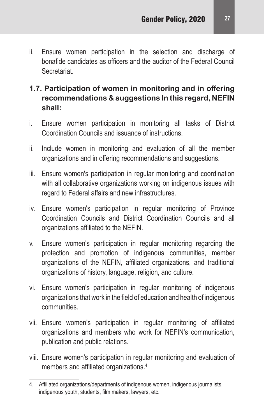ii. Ensure women participation in the selection and discharge of bonafide candidates as officers and the auditor of the Federal Council **Secretariat** 

#### **1.7. Participation of women in monitoring and in offering recommendations & suggestions In this regard, NEFIN shall:**

- i. Ensure women participation in monitoring all tasks of District Coordination Councils and issuance of instructions.
- ii. Include women in monitoring and evaluation of all the member organizations and in offering recommendations and suggestions.
- iii. Ensure women's participation in regular monitoring and coordination with all collaborative organizations working on indigenous issues with regard to Federal affairs and new infrastructures.
- iv. Ensure women's participation in regular monitoring of Province Coordination Councils and District Coordination Councils and all organizations affiliated to the NEFIN.
- v. Ensure women's participation in regular monitoring regarding the protection and promotion of indigenous communities, member organizations of the NEFIN, affiliated organizations, and traditional organizations of history, language, religion, and culture.
- vi. Ensure women's participation in regular monitoring of indigenous organizations that work in the field of education and health of indigenous communities.
- vii. Ensure women's participation in regular monitoring of affiliated organizations and members who work for NEFIN's communication, publication and public relations.
- viii. Ensure women's participation in regular monitoring and evaluation of members and affiliated organizations.<sup>4</sup>

<sup>4.</sup> Affiliated organizations/departments of indigenous women, indigenous journalists, indigenous youth, students, film makers, lawyers, etc.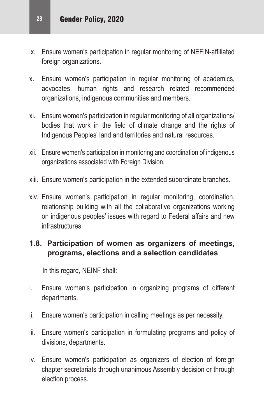- ix. Ensure women's participation in regular monitoring of NEFIN-affiliated foreign organizations.
- x. Ensure women's participation in regular monitoring of academics, advocates, human rights and research related recommended organizations, indigenous communities and members.
- xi. Ensure women's participation in regular monitoring of all organizations/ bodies that work in the field of climate change and the rights of Indigenous Peoples' land and territories and natural resources.
- xii. Ensure women's participation in monitoring and coordination of indigenous organizations associated with Foreign Division.
- xiii. Ensure women's participation in the extended subordinate branches.
- xiv. Ensure women's participation in regular monitoring, coordination, relationship building with all the collaborative organizations working on indigenous peoples' issues with regard to Federal affairs and new infrastructures.

#### **1.8. Participation of women as organizers of meetings, programs, elections and a selection candidates**

In this regard, NEINF shall:

- i. Ensure women's participation in organizing programs of different departments.
- ii. Ensure women's participation in calling meetings as per necessity.
- iii. Ensure women's participation in formulating programs and policy of divisions, departments.
- iv. Ensure women's participation as organizers of election of foreign chapter secretariats through unanimous Assembly decision or through election process.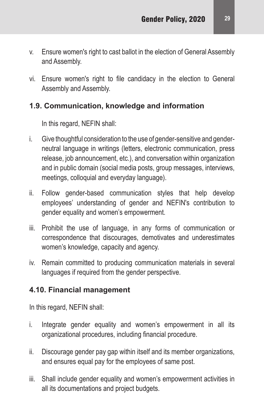- v. Ensure women's right to cast ballot in the election of General Assembly and Assembly.
- vi. Ensure women's right to file candidacy in the election to General Assembly and Assembly.

#### **1.9. Communication, knowledge and information**

In this regard, NEFIN shall:

- i. Give thoughtful consideration to the use of gender-sensitive and genderneutral language in writings (letters, electronic communication, press release, job announcement, etc.), and conversation within organization and in public domain (social media posts, group messages, interviews, meetings, colloquial and everyday language).
- ii. Follow gender-based communication styles that help develop employees' understanding of gender and NEFIN's contribution to gender equality and women's empowerment.
- iii. Prohibit the use of language, in any forms of communication or correspondence that discourages, demotivates and underestimates women's knowledge, capacity and agency.
- iv. Remain committed to producing communication materials in several languages if required from the gender perspective.

#### **4.10. Financial management**

In this regard, NEFIN shall:

- i. Integrate gender equality and women's empowerment in all its organizational procedures, including financial procedure.
- ii. Discourage gender pay gap within itself and its member organizations, and ensures equal pay for the employees of same post.
- iii. Shall include gender equality and women's empowerment activities in all its documentations and project budgets.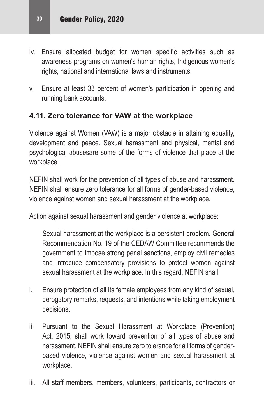- iv. Ensure allocated budget for women specific activities such as awareness programs on women's human rights, Indigenous women's rights, national and international laws and instruments.
- v. Ensure at least 33 percent of women's participation in opening and running bank accounts.

#### **4.11. Zero tolerance for VAW at the workplace**

Violence against Women (VAW) is a major obstacle in attaining equality, development and peace. Sexual harassment and physical, mental and psychological abusesare some of the forms of violence that place at the workplace.

NEFIN shall work for the prevention of all types of abuse and harassment. NEFIN shall ensure zero tolerance for all forms of gender-based violence, violence against women and sexual harassment at the workplace.

Action against sexual harassment and gender violence at workplace:

Sexual harassment at the workplace is a persistent problem. General Recommendation No. 19 of the CEDAW Committee recommends the government to impose strong penal sanctions, employ civil remedies and introduce compensatory provisions to protect women against sexual harassment at the workplace. In this regard, NEFIN shall:

- i. Ensure protection of all its female employees from any kind of sexual, derogatory remarks, requests, and intentions while taking employment decisions.
- ii. Pursuant to the Sexual Harassment at Workplace (Prevention) Act, 2015, shall work toward prevention of all types of abuse and harassment. NEFIN shall ensure zero tolerance for all forms of genderbased violence, violence against women and sexual harassment at workplace.
- iii. All staff members, members, volunteers, participants, contractors or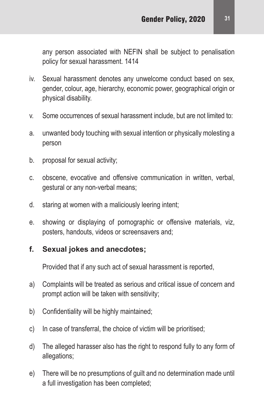any person associated with NEFIN shall be subject to penalisation policy for sexual harassment. 1414

- iv. Sexual harassment denotes any unwelcome conduct based on sex, gender, colour, age, hierarchy, economic power, geographical origin or physical disability.
- v. Some occurrences of sexual harassment include, but are not limited to:
- a. unwanted body touching with sexual intention or physically molesting a person
- b. proposal for sexual activity;
- c. obscene, evocative and offensive communication in written, verbal, gestural or any non-verbal means;
- d. staring at women with a maliciously leering intent;
- e. showing or displaying of pornographic or offensive materials, viz, posters, handouts, videos or screensavers and;

#### **f. Sexual jokes and anecdotes;**

Provided that if any such act of sexual harassment is reported,

- a) Complaints will be treated as serious and critical issue of concern and prompt action will be taken with sensitivity;
- b) Confidentiality will be highly maintained;
- c) In case of transferral, the choice of victim will be prioritised;
- d) The alleged harasser also has the right to respond fully to any form of allegations;
- e) There will be no presumptions of guilt and no determination made until a full investigation has been completed;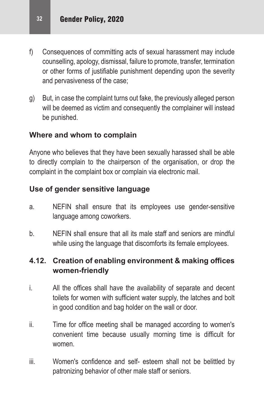- f) Consequences of committing acts of sexual harassment may include counselling, apology, dismissal, failure to promote, transfer, termination or other forms of justifiable punishment depending upon the severity and pervasiveness of the case;
- g) But, in case the complaint turns out fake, the previously alleged person will be deemed as victim and consequently the complainer will instead be punished.

#### **Where and whom to complain**

Anyone who believes that they have been sexually harassed shall be able to directly complain to the chairperson of the organisation, or drop the complaint in the complaint box or complain via electronic mail.

#### **Use of gender sensitive language**

- a. NEFIN shall ensure that its employees use gender-sensitive language among coworkers.
- b. NEFIN shall ensure that all its male staff and seniors are mindful while using the language that discomforts its female employees.

#### **4.12. Creation of enabling environment & making offices women-friendly**

- i. All the offices shall have the availability of separate and decent toilets for women with sufficient water supply, the latches and bolt in good condition and bag holder on the wall or door.
- ii. Time for office meeting shall be managed according to women's convenient time because usually morning time is difficult for women.
- iii. Women's confidence and self- esteem shall not be belittled by patronizing behavior of other male staff or seniors.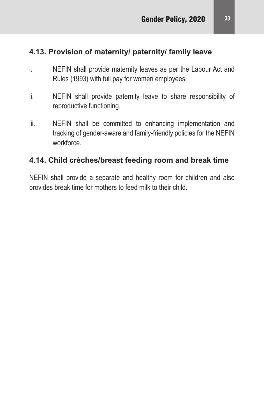#### **4.13. Provision of maternity/ paternity/ family leave**

- i. NEFIN shall provide maternity leaves as per the Labour Act and Rules (1993) with full pay for women employees.
- ii. NEFIN shall provide paternity leave to share responsibility of reproductive functioning.
- iii. NEFIN shall be committed to enhancing implementation and tracking of gender-aware and family-friendly policies for the NEFIN workforce.

#### **4.14. Child crèches/breast feeding room and break time**

NEFIN shall provide a separate and healthy room for children and also provides break time for mothers to feed milk to their child.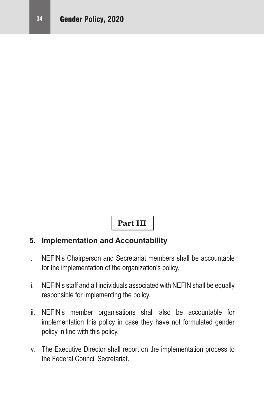#### **Part III**

#### **5. Implementation and Accountability**

- i. NEFIN's Chairperson and Secretariat members shall be accountable for the implementation of the organization's policy.
- ii. NEFIN's staff and all individuals associated with NEFIN shall be equally responsible for implementing the policy.
- iii. NEFIN's member organisations shall also be accountable for implementation this policy in case they have not formulated gender policy in line with this policy.
- iv. The Executive Director shall report on the implementation process to the Federal Council Secretariat.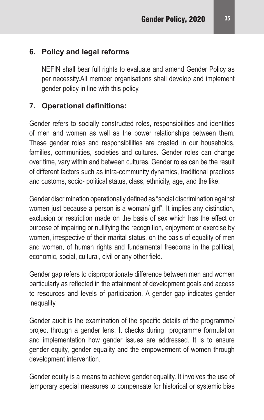#### **6. Policy and legal reforms**

NEFIN shall bear full rights to evaluate and amend Gender Policy as per necessity.All member organisations shall develop and implement gender policy in line with this policy.

#### **7. Operational definitions:**

Gender refers to socially constructed roles, responsibilities and identities of men and women as well as the power relationships between them. These gender roles and responsibilities are created in our households, families, communities, societies and cultures. Gender roles can change over time, vary within and between cultures. Gender roles can be the result of different factors such as intra-community dynamics, traditional practices and customs, socio- political status, class, ethnicity, age, and the like.

Gender discrimination operationally defined as "social discrimination against women just because a person is a woman/ girl". It implies any distinction, exclusion or restriction made on the basis of sex which has the effect or purpose of impairing or nullifying the recognition, enjoyment or exercise by women, irrespective of their marital status, on the basis of equality of men and women, of human rights and fundamental freedoms in the political, economic, social, cultural, civil or any other field.

Gender gap refers to disproportionate difference between men and women particularly as reflected in the attainment of development goals and access to resources and levels of participation. A gender gap indicates gender inequality.

Gender audit is the examination of the specific details of the programme/ project through a gender lens. It checks during programme formulation and implementation how gender issues are addressed. It is to ensure gender equity, gender equality and the empowerment of women through development intervention.

Gender equity is a means to achieve gender equality. It involves the use of temporary special measures to compensate for historical or systemic bias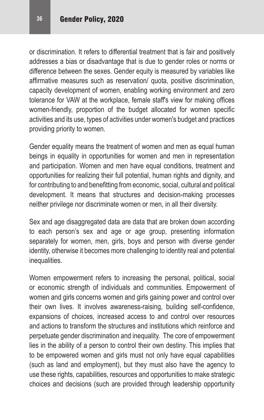or discrimination. It refers to differential treatment that is fair and positively addresses a bias or disadvantage that is due to gender roles or norms or difference between the sexes. Gender equity is measured by variables like affirmative measures such as reservation/ quota, positive discrimination, capacity development of women, enabling working environment and zero tolerance for VAW at the workplace, female staff's view for making offices women-friendly, proportion of the budget allocated for women specific activities and its use, types of activities under women's budget and practices providing priority to women.

Gender equality means the treatment of women and men as equal human beings in equality in opportunities for women and men in representation and participation. Women and men have equal conditions, treatment and opportunities for realizing their full potential, human rights and dignity, and for contributing to and benefitting fromeconomic, social, cultural and political development. It means that structures and decision-making processes neither privilege nor discriminate women or men, in all their diversity.

Sex and age disaggregated data are data that are broken down according to each person's sex and age or age group, presenting information separately for women, men, girls, boys and person with diverse gender identity, otherwise it becomes more challenging to identity real and potential inequalities.

Women empowerment refers to increasing the personal, political, social or economic strength of individuals and communities. Empowerment of women and girls concerns women and girls gaining power and control over their own lives. It involves awareness-raising, building self-confidence, expansions of choices, increased access to and control over resources and actions to transform the structures and institutions which reinforce and perpetuate gender discrimination and inequality. The core of empowerment lies in the ability of a person to control their own destiny. This implies that to be empowered women and girls must not only have equal capabilities (such as land and employment), but they must also have the agency to use these rights, capabilities, resources and opportunities to make strategic choices and decisions (such are provided through leadership opportunity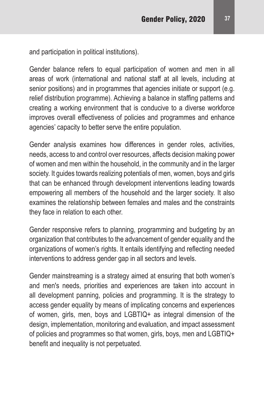and participation in political institutions).

Gender balance refers to equal participation of women and men in all areas of work (international and national staff at all levels, including at senior positions) and in programmes that agencies initiate or support (e.g. relief distribution programme). Achieving a balance in staffing patterns and creating a working environment that is conducive to a diverse workforce improves overall effectiveness of policies and programmes and enhance agencies' capacity to better serve the entire population.

Gender analysis examines how differences in gender roles, activities, needs, access to and control over resources, affects decision making power of women and men within the household, in the community and in the larger society. It guides towards realizing potentials of men, women, boys and girls that can be enhanced through development interventions leading towards empowering all members of the household and the larger society. It also examines the relationship between females and males and the constraints they face in relation to each other.

Gender responsive refers to planning, programming and budgeting by an organization that contributes to the advancement of gender equality and the organizations of women's rights. It entails identifying and reflecting needed interventions to address gender gap in all sectors and levels.

Gender mainstreaming is a strategy aimed at ensuring that both women's and men's needs, priorities and experiences are taken into account in all development panning, policies and programming. It is the strategy to access gender equality by means of implicating concerns and experiences of women, girls, men, boys and LGBTIQ+ as integral dimension of the design, implementation, monitoring and evaluation, and impact assessment of policies and programmes so that women, girls, boys, men and LGBTIQ+ benefit and inequality is not perpetuated.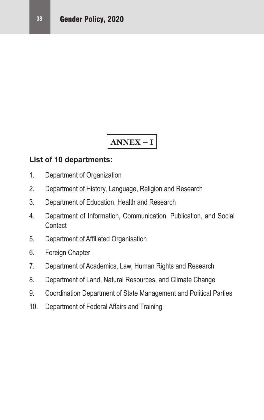# **ANNEX – I**

#### **List of 10 departments:**

- 1. Department of Organization
- 2. Department of History, Language, Religion and Research
- 3. Department of Education, Health and Research
- 4. Department of Information, Communication, Publication, and Social **Contact**
- 5. Department of Affiliated Organisation
- 6. Foreign Chapter
- 7. Department of Academics, Law, Human Rights and Research
- 8. Department of Land, Natural Resources, and Climate Change
- 9. Coordination Department of State Management and Political Parties
- 10. Department of Federal Affairs and Training